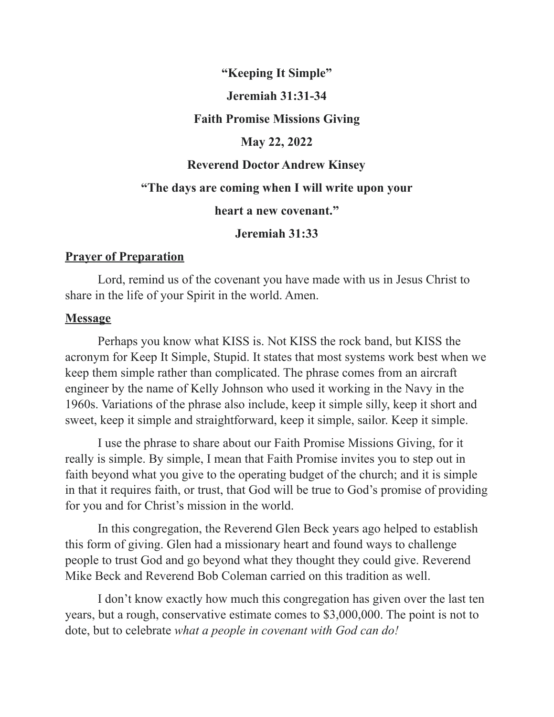## **"Keeping It Simple"**

## **Jeremiah 31:31-34**

#### **Faith Promise Missions Giving**

### **May 22, 2022**

#### **Reverend Doctor Andrew Kinsey**

# **"The days are coming when I will write upon your**

#### **heart a new covenant."**

#### **Jeremiah 31:33**

## **Prayer of Preparation**

Lord, remind us of the covenant you have made with us in Jesus Christ to share in the life of your Spirit in the world. Amen.

#### **Message**

Perhaps you know what KISS is. Not KISS the rock band, but KISS the acronym for Keep It Simple, Stupid. It states that most systems work best when we keep them simple rather than complicated. The phrase comes from an aircraft engineer by the name of Kelly Johnson who used it working in the Navy in the 1960s. Variations of the phrase also include, keep it simple silly, keep it short and sweet, keep it simple and straightforward, keep it simple, sailor. Keep it simple.

I use the phrase to share about our Faith Promise Missions Giving, for it really is simple. By simple, I mean that Faith Promise invites you to step out in faith beyond what you give to the operating budget of the church; and it is simple in that it requires faith, or trust, that God will be true to God's promise of providing for you and for Christ's mission in the world.

In this congregation, the Reverend Glen Beck years ago helped to establish this form of giving. Glen had a missionary heart and found ways to challenge people to trust God and go beyond what they thought they could give. Reverend Mike Beck and Reverend Bob Coleman carried on this tradition as well.

I don't know exactly how much this congregation has given over the last ten years, but a rough, conservative estimate comes to \$3,000,000. The point is not to dote, but to celebrate *what a people in covenant with God can do!*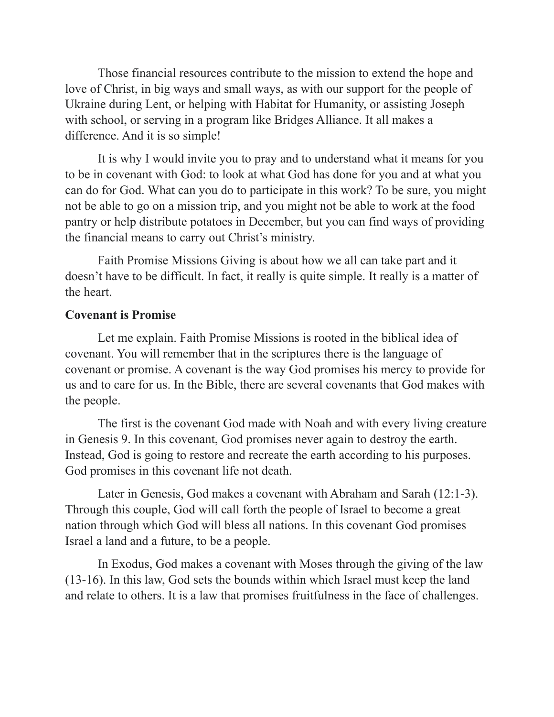Those financial resources contribute to the mission to extend the hope and love of Christ, in big ways and small ways, as with our support for the people of Ukraine during Lent, or helping with Habitat for Humanity, or assisting Joseph with school, or serving in a program like Bridges Alliance. It all makes a difference. And it is so simple!

It is why I would invite you to pray and to understand what it means for you to be in covenant with God: to look at what God has done for you and at what you can do for God. What can you do to participate in this work? To be sure, you might not be able to go on a mission trip, and you might not be able to work at the food pantry or help distribute potatoes in December, but you can find ways of providing the financial means to carry out Christ's ministry.

Faith Promise Missions Giving is about how we all can take part and it doesn't have to be difficult. In fact, it really is quite simple. It really is a matter of the heart.

# **Covenant is Promise**

Let me explain. Faith Promise Missions is rooted in the biblical idea of covenant. You will remember that in the scriptures there is the language of covenant or promise. A covenant is the way God promises his mercy to provide for us and to care for us. In the Bible, there are several covenants that God makes with the people.

The first is the covenant God made with Noah and with every living creature in Genesis 9. In this covenant, God promises never again to destroy the earth. Instead, God is going to restore and recreate the earth according to his purposes. God promises in this covenant life not death.

Later in Genesis, God makes a covenant with Abraham and Sarah (12:1-3). Through this couple, God will call forth the people of Israel to become a great nation through which God will bless all nations. In this covenant God promises Israel a land and a future, to be a people.

In Exodus, God makes a covenant with Moses through the giving of the law (13-16). In this law, God sets the bounds within which Israel must keep the land and relate to others. It is a law that promises fruitfulness in the face of challenges.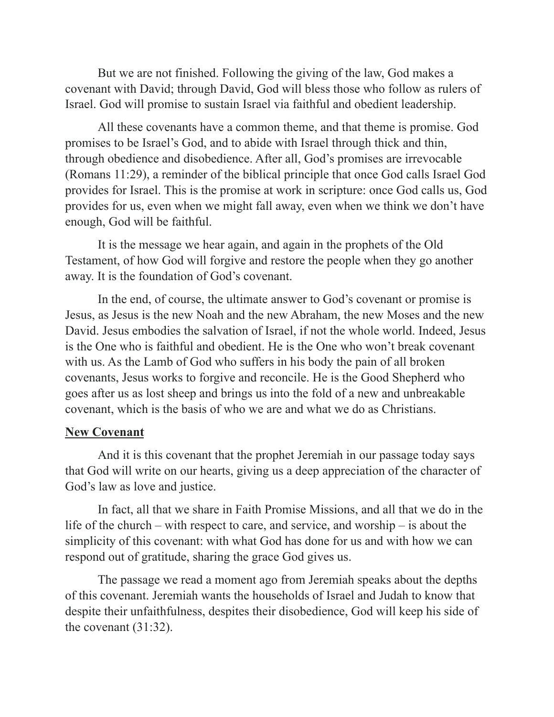But we are not finished. Following the giving of the law, God makes a covenant with David; through David, God will bless those who follow as rulers of Israel. God will promise to sustain Israel via faithful and obedient leadership.

All these covenants have a common theme, and that theme is promise. God promises to be Israel's God, and to abide with Israel through thick and thin, through obedience and disobedience. After all, God's promises are irrevocable (Romans 11:29), a reminder of the biblical principle that once God calls Israel God provides for Israel. This is the promise at work in scripture: once God calls us, God provides for us, even when we might fall away, even when we think we don't have enough, God will be faithful.

It is the message we hear again, and again in the prophets of the Old Testament, of how God will forgive and restore the people when they go another away. It is the foundation of God's covenant.

In the end, of course, the ultimate answer to God's covenant or promise is Jesus, as Jesus is the new Noah and the new Abraham, the new Moses and the new David. Jesus embodies the salvation of Israel, if not the whole world. Indeed, Jesus is the One who is faithful and obedient. He is the One who won't break covenant with us. As the Lamb of God who suffers in his body the pain of all broken covenants, Jesus works to forgive and reconcile. He is the Good Shepherd who goes after us as lost sheep and brings us into the fold of a new and unbreakable covenant, which is the basis of who we are and what we do as Christians.

#### **New Covenant**

And it is this covenant that the prophet Jeremiah in our passage today says that God will write on our hearts, giving us a deep appreciation of the character of God's law as love and justice.

In fact, all that we share in Faith Promise Missions, and all that we do in the life of the church – with respect to care, and service, and worship – is about the simplicity of this covenant: with what God has done for us and with how we can respond out of gratitude, sharing the grace God gives us.

The passage we read a moment ago from Jeremiah speaks about the depths of this covenant. Jeremiah wants the households of Israel and Judah to know that despite their unfaithfulness, despites their disobedience, God will keep his side of the covenant (31:32).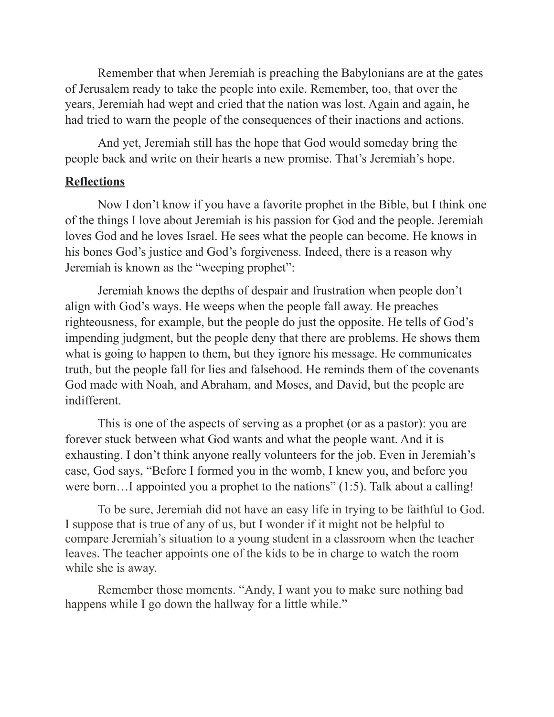Remember that when Jeremiah is preaching the Babylonians are at the gates of Jerusalem ready to take the people into exile. Remember, too, that over the years, Jeremiah had wept and cried that the nation was lost. Again and again, he had tried to warn the people of the consequences of their inactions and actions.

And yet, Jeremiah still has the hope that God would someday bring the people back and write on their hearts a new promise. That's Jeremiah's hope.

# **Reflections**

Now I don't know if you have a favorite prophet in the Bible, but I think one of the things I love about Jeremiah is his passion for God and the people. Jeremiah loves God and he loves Israel. He sees what the people can become. He knows in his bones God's justice and God's forgiveness. Indeed, there is a reason why Jeremiah is known as the "weeping prophet":

Jeremiah knows the depths of despair and frustration when people don't align with God's ways. He weeps when the people fall away. He preaches righteousness, for example, but the people do just the opposite. He tells of God's impending judgment, but the people deny that there are problems. He shows them what is going to happen to them, but they ignore his message. He communicates truth, but the people fall for lies and falsehood. He reminds them of the covenants God made with Noah, and Abraham, and Moses, and David, but the people are indifferent.

This is one of the aspects of serving as a prophet (or as a pastor): you are forever stuck between what God wants and what the people want. And it is exhausting. I don't think anyone really volunteers for the job. Even in Jeremiah's case, God says, "Before I formed you in the womb, I knew you, and before you were born...I appointed you a prophet to the nations" (1:5). Talk about a calling!

To be sure, Jeremiah did not have an easy life in trying to be faithful to God. I suppose that is true of any of us, but I wonder if it might not be helpful to compare Jeremiah's situation to a young student in a classroom when the teacher leaves. The teacher appoints one of the kids to be in charge to watch the room while she is away.

Remember those moments. "Andy, I want you to make sure nothing bad happens while I go down the hallway for a little while."